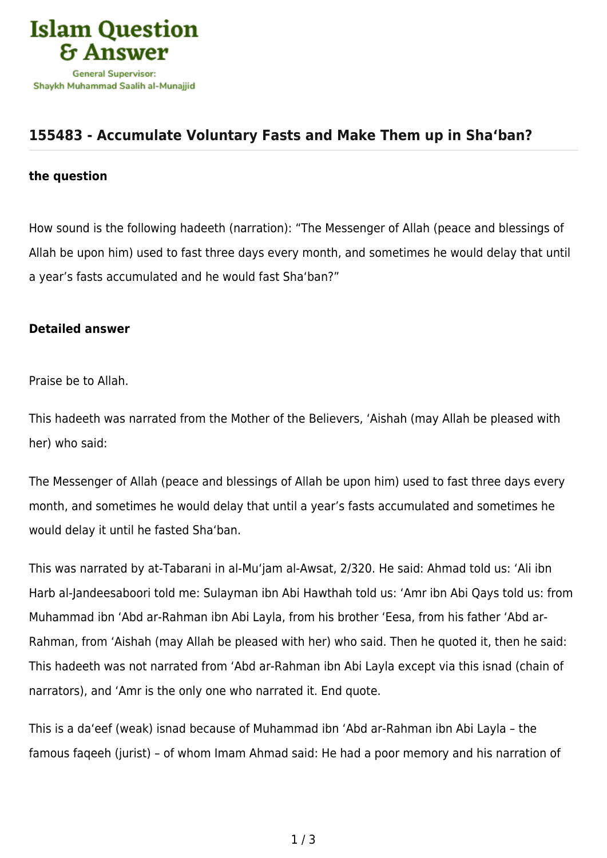

## **[155483 - Accumulate Voluntary Fasts and Make Them up in Sha'ban?](https://islamqa.com/en/answers/155483/accumulate-voluntary-fasts-and-make-them-up-in-shaban)**

## **the question**

How sound is the following hadeeth (narration): "The Messenger of Allah (peace and blessings of Allah be upon him) used to fast three days every month, and sometimes he would delay that until a year's fasts accumulated and he would fast Sha'ban?"

## **Detailed answer**

Praise be to Allah.

This hadeeth was narrated from the Mother of the Believers, 'Aishah (may Allah be pleased with her) who said:

The Messenger of Allah (peace and blessings of Allah be upon him) used to fast three days every month, and sometimes he would delay that until a year's fasts accumulated and sometimes he would delay it until he fasted Sha'ban.

This was narrated by at-Tabarani in al-Mu'jam al-Awsat, 2/320. He said: Ahmad told us: 'Ali ibn Harb al-Jandeesaboori told me: Sulayman ibn Abi Hawthah told us: 'Amr ibn Abi Qays told us: from Muhammad ibn 'Abd ar-Rahman ibn Abi Layla, from his brother 'Eesa, from his father 'Abd ar-Rahman, from 'Aishah (may Allah be pleased with her) who said. Then he quoted it, then he said: This hadeeth was not narrated from 'Abd ar-Rahman ibn Abi Layla except via this isnad (chain of narrators), and 'Amr is the only one who narrated it. End quote.

This is a da'eef (weak) isnad because of Muhammad ibn 'Abd ar-Rahman ibn Abi Layla – the famous faqeeh (jurist) – of whom Imam Ahmad said: He had a poor memory and his narration of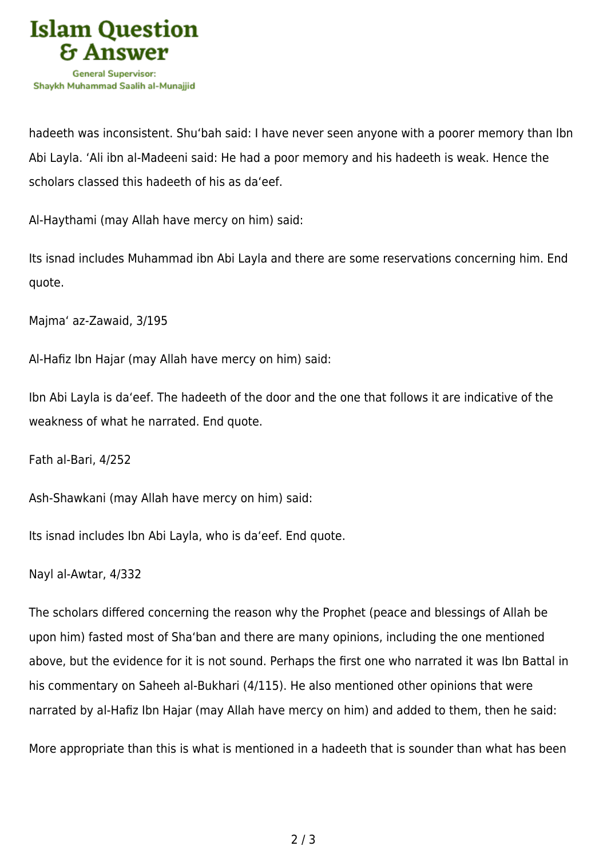

hadeeth was inconsistent. Shu'bah said: I have never seen anyone with a poorer memory than Ibn Abi Layla. 'Ali ibn al-Madeeni said: He had a poor memory and his hadeeth is weak. Hence the scholars classed this hadeeth of his as da'eef.

Al-Haythami (may Allah have mercy on him) said:

Its isnad includes Muhammad ibn Abi Layla and there are some reservations concerning him. End quote.

Majma' az-Zawaid, 3/195

Al-Hafiz Ibn Hajar (may Allah have mercy on him) said:

Ibn Abi Layla is da'eef. The hadeeth of the door and the one that follows it are indicative of the weakness of what he narrated. End quote.

Fath al-Bari, 4/252

Ash-Shawkani (may Allah have mercy on him) said:

Its isnad includes Ibn Abi Layla, who is da'eef. End quote.

Nayl al-Awtar, 4/332

The scholars differed concerning the reason why the Prophet (peace and blessings of Allah be upon him) fasted most of Sha'ban and there are many opinions, including the one mentioned above, but the evidence for it is not sound. Perhaps the first one who narrated it was Ibn Battal in his commentary on Saheeh al-Bukhari (4/115). He also mentioned other opinions that were narrated by al-Hafiz Ibn Hajar (may Allah have mercy on him) and added to them, then he said:

More appropriate than this is what is mentioned in a hadeeth that is sounder than what has been